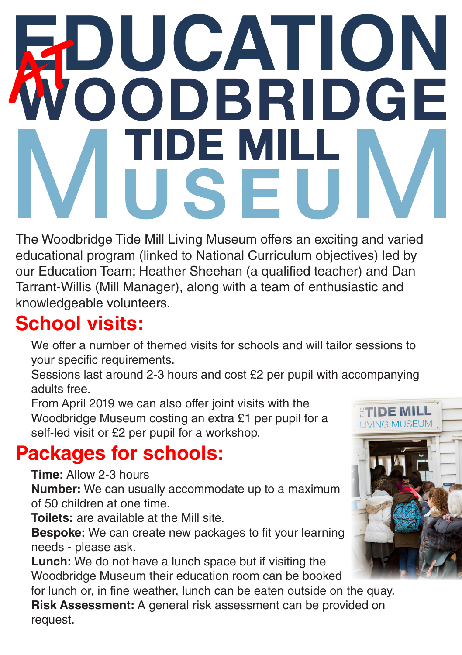# **UCATION**<br>ODBRIDGE **IDE MII<br>J S F**

The Woodbridge Tide Mill Living Museum offers an exciting and varied educational program (linked to National Curriculum objectives) led by our Education Team; Heather Sheehan (a qualified teacher) and Dan Tarrant-Willis (Mill Manager), along with a team of enthusiastic and knowledgeable volunteers.

### **School visits:**

We offer a number of themed visits for schools and will tailor sessions to your specific requirements.

Sessions last around 2-3 hours and cost £2 per pupil with accompanying adults free.

From April 2019 we can also offer joint visits with the Woodbridge Museum costing an extra £1 per pupil for a self-led visit or £2 per pupil for a workshop.

#### **Packages for schools:**

**Time:** Allow 2-3 hours

**Number:** We can usually accommodate up to a maximum of 50 children at one time.

**Toilets:** are available at the Mill site.

**Bespoke:** We can create new packages to fit your learning needs - please ask.

**Lunch:** We do not have a lunch space but if visiting the Woodbridge Museum their education room can be booked

for lunch or, in fine weather, lunch can be eaten outside on the quay. **Risk Assessment:** A general risk assessment can be provided on request.